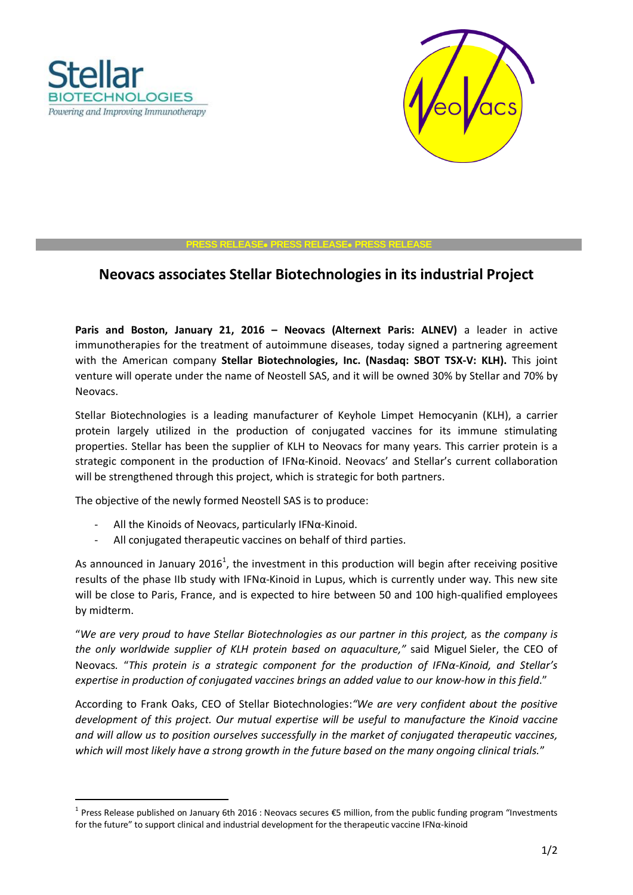

-



**PRESS RELEASE PRESS RELEASE PRESS RELEASE**

## **Neovacs associates Stellar Biotechnologies in its industrial Project**

**Paris and Boston, January 21, 2016 – Neovacs (Alternext Paris: ALNEV)** a leader in active immunotherapies for the treatment of autoimmune diseases, today signed a partnering agreement with the American company **Stellar Biotechnologies, Inc. (Nasdaq: SBOT TSX-V: KLH).** This joint venture will operate under the name of Neostell SAS, and it will be owned 30% by Stellar and 70% by Neovacs.

Stellar Biotechnologies is a leading manufacturer of Keyhole Limpet Hemocyanin (KLH), a carrier protein largely utilized in the production of conjugated vaccines for its immune stimulating properties. Stellar has been the supplier of KLH to Neovacs for many years. This carrier protein is a strategic component in the production of IFNα-Kinoid. Neovacs' and Stellar's current collaboration will be strengthened through this project, which is strategic for both partners.

The objective of the newly formed Neostell SAS is to produce:

- All the Kinoids of Neovacs, particularly IFNα-Kinoid.
- All conjugated therapeutic vaccines on behalf of third parties.

As announced in January 2016<sup>1</sup>, the investment in this production will begin after receiving positive results of the phase IIb study with IFNα-Kinoid in Lupus, which is currently under way. This new site will be close to Paris, France, and is expected to hire between 50 and 100 high-qualified employees by midterm.

"*We are very proud to have Stellar Biotechnologies as our partner in this project,* as *the company is the only worldwide supplier of KLH protein based on aquaculture,"* said Miguel Sieler, the CEO of Neovacs*.* "*This protein is a strategic component for the production of IFNα*-*Kinoid, and Stellar's expertise in production of conjugated vaccines brings an added value to our know-how in this field*."

According to Frank Oaks, CEO of Stellar Biotechnologies:*"We are very confident about the positive development of this project. Our mutual expertise will be useful to manufacture the Kinoid vaccine and will allow us to position ourselves successfully in the market of conjugated therapeutic vaccines, which will most likely have a strong growth in the future based on the many ongoing clinical trials.*"

<sup>&</sup>lt;sup>1</sup> Press Release published on January 6th 2016 : Neovacs secures €5 million, from the public funding program "Investments for the future" to support clinical and industrial development for the therapeutic vaccine IFNα-kinoid